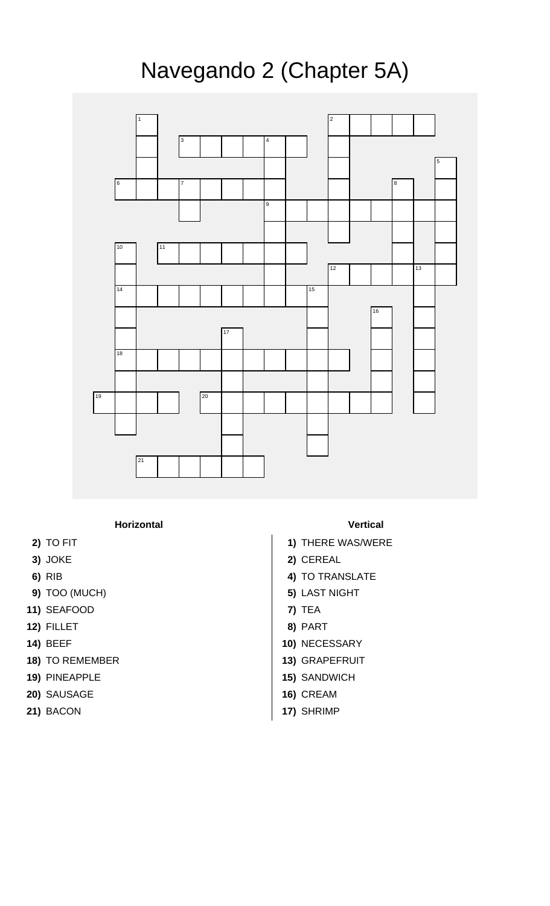## Navegando 2 (Chapter 5A)



**Horizontal Vertical**

- 
- 
- 
- **9)** TOO (MUCH) **5)** LAST NIGHT
- **11)** SEAFOOD **7)** TEA
- **12)** FILLET **8)** PART
- 
- **18)** TO REMEMBER **13)** GRAPEFRUIT
- **19)** PINEAPPLE **15)** SANDWICH
- **20)** SAUSAGE **16)** CREAM
- 

- **2)** TO FIT **1)** THERE WAS/WERE
- **3)** JOKE **2)** CEREAL
- **6)** RIB **4)** TO TRANSLATE
	-
	-
	-
- **14)** BEEF **10)** NECESSARY
	-
	-
	-
- **21)** BACON **17)** SHRIMP